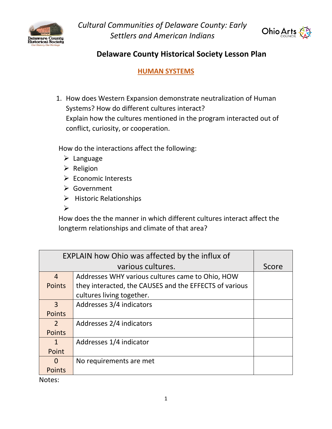



### **Delaware County Historical Society Lesson Plan**

**HUMAN SYSTEMS**

1. How does Western Expansion demonstrate neutralization of Human Systems? How do different cultures interact? Explain how the cultures mentioned in the program interacted out of conflict, curiosity, or cooperation.

How do the interactions affect the following:

- ➢ Language
- ➢ Religion
- ➢ Economic Interests
- ➢ Government
- ➢ Historic Relationships
- ➢

How does the the manner in which different cultures interact affect the longterm relationships and climate of that area?

| EXPLAIN how Ohio was affected by the influx of |                                                        |       |
|------------------------------------------------|--------------------------------------------------------|-------|
| various cultures.                              |                                                        | Score |
| $\overline{4}$                                 | Addresses WHY various cultures came to Ohio, HOW       |       |
| <b>Points</b>                                  | they interacted, the CAUSES and the EFFECTS of various |       |
|                                                | cultures living together.                              |       |
| $\overline{3}$                                 | Addresses 3/4 indicators                               |       |
| Points                                         |                                                        |       |
| $\overline{2}$                                 | Addresses 2/4 indicators                               |       |
| <b>Points</b>                                  |                                                        |       |
| $\mathbf{1}$                                   | Addresses 1/4 indicator                                |       |
| Point                                          |                                                        |       |
| O                                              | No requirements are met                                |       |
| <b>Points</b>                                  |                                                        |       |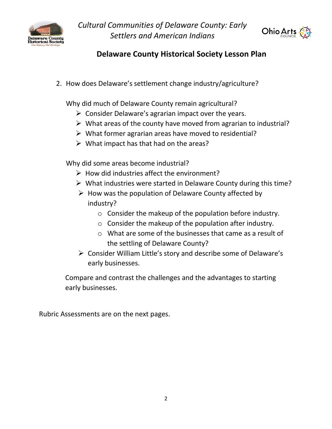



## **Delaware County Historical Society Lesson Plan**

2. How does Delaware's settlement change industry/agriculture?

Why did much of Delaware County remain agricultural?

- $\triangleright$  Consider Delaware's agrarian impact over the years.
- $\triangleright$  What areas of the county have moved from agrarian to industrial?
- $\triangleright$  What former agrarian areas have moved to residential?
- $\triangleright$  What impact has that had on the areas?

Why did some areas become industrial?

- $\triangleright$  How did industries affect the environment?
- ➢ What industries were started in Delaware County during this time?
- $\triangleright$  How was the population of Delaware County affected by industry?
	- o Consider the makeup of the population before industry.
	- o Consider the makeup of the population after industry.
	- o What are some of the businesses that came as a result of the settling of Delaware County?
- ➢ Consider William Little's story and describe some of Delaware's early businesses.

Compare and contrast the challenges and the advantages to starting early businesses.

Rubric Assessments are on the next pages.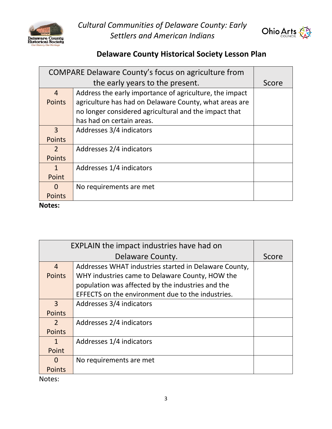



## **Delaware County Historical Society Lesson Plan**

| COMPARE Delaware County's focus on agriculture from |                                                         |       |
|-----------------------------------------------------|---------------------------------------------------------|-------|
| the early years to the present.                     |                                                         | Score |
| $\overline{4}$                                      | Address the early importance of agriculture, the impact |       |
| <b>Points</b>                                       | agriculture has had on Delaware County, what areas are  |       |
|                                                     | no longer considered agricultural and the impact that   |       |
|                                                     | has had on certain areas.                               |       |
| $\overline{3}$                                      | Addresses 3/4 indicators                                |       |
| <b>Points</b>                                       |                                                         |       |
| $\mathcal{P}$                                       | Addresses 2/4 indicators                                |       |
| <b>Points</b>                                       |                                                         |       |
| $\mathbf{1}$                                        | Addresses 1/4 indicators                                |       |
| Point                                               |                                                         |       |
| 0                                                   | No requirements are met                                 |       |
| <b>Points</b>                                       |                                                         |       |

#### **Notes:**

| <b>EXPLAIN the impact industries have had on</b> |                                                       |       |
|--------------------------------------------------|-------------------------------------------------------|-------|
| Delaware County.                                 |                                                       | Score |
| $\overline{4}$                                   | Addresses WHAT industries started in Delaware County, |       |
| <b>Points</b>                                    | WHY industries came to Delaware County, HOW the       |       |
|                                                  | population was affected by the industries and the     |       |
|                                                  | EFFECTS on the environment due to the industries.     |       |
| $\overline{3}$                                   | Addresses 3/4 indicators                              |       |
| <b>Points</b>                                    |                                                       |       |
| $\overline{2}$                                   | Addresses 2/4 indicators                              |       |
| <b>Points</b>                                    |                                                       |       |
| $\mathbf{1}$                                     | Addresses 1/4 indicators                              |       |
| Point                                            |                                                       |       |
| 0                                                | No requirements are met                               |       |
| <b>Points</b>                                    |                                                       |       |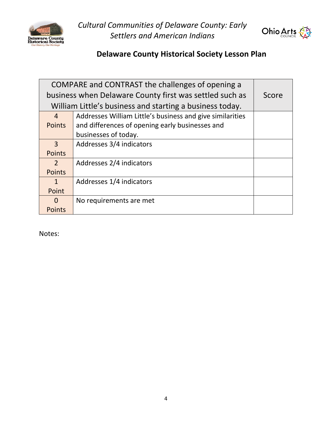



# **Delaware County Historical Society Lesson Plan**

| COMPARE and CONTRAST the challenges of opening a         |                                                           |       |
|----------------------------------------------------------|-----------------------------------------------------------|-------|
| business when Delaware County first was settled such as  |                                                           | Score |
| William Little's business and starting a business today. |                                                           |       |
| $\overline{4}$                                           | Addresses William Little's business and give similarities |       |
| <b>Points</b>                                            | and differences of opening early businesses and           |       |
|                                                          | businesses of today.                                      |       |
| 3                                                        | Addresses 3/4 indicators                                  |       |
| <b>Points</b>                                            |                                                           |       |
| 2                                                        | Addresses 2/4 indicators                                  |       |
| <b>Points</b>                                            |                                                           |       |
| $\mathbf{1}$                                             | Addresses 1/4 indicators                                  |       |
| Point                                                    |                                                           |       |
| $\Omega$                                                 | No requirements are met                                   |       |
| <b>Points</b>                                            |                                                           |       |